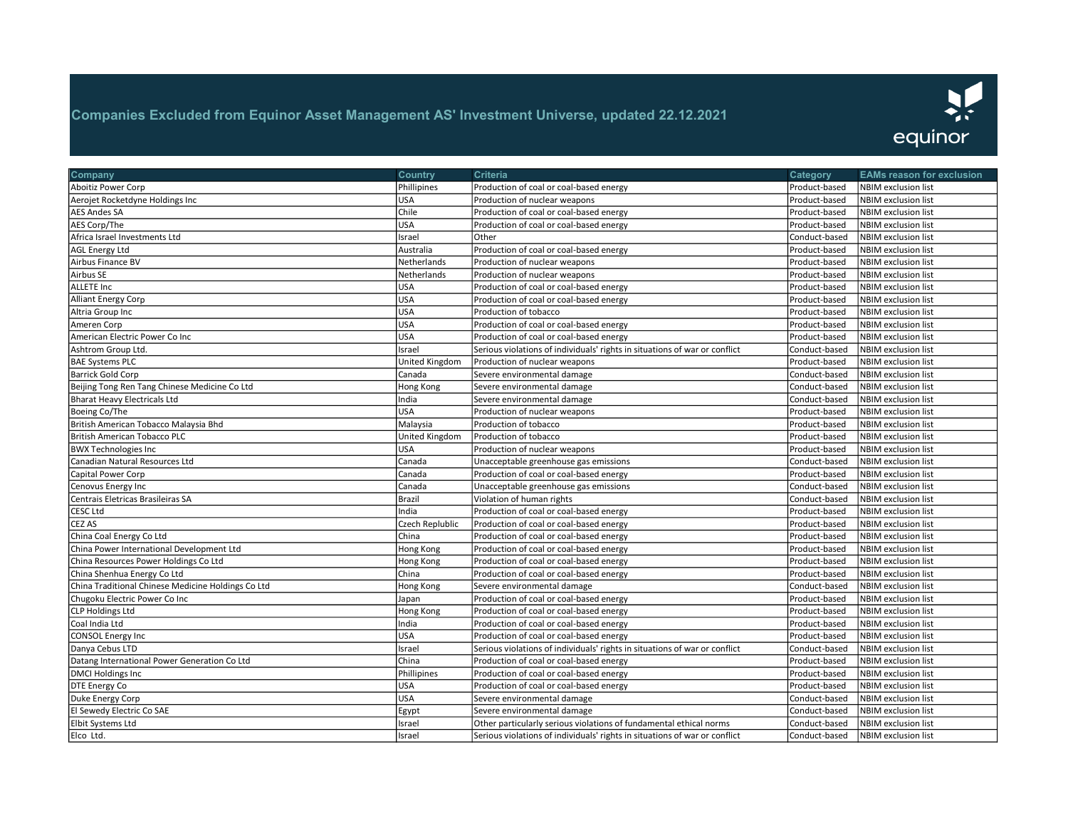

| Company                                            | <b>Country</b>  | Criteria                                                                   | Category      | <b>EAMs reason for exclusion</b> |
|----------------------------------------------------|-----------------|----------------------------------------------------------------------------|---------------|----------------------------------|
| Aboitiz Power Corp                                 | Phillipines     | Production of coal or coal-based energy                                    | Product-based | NBIM exclusion list              |
| Aerojet Rocketdyne Holdings Inc                    | <b>USA</b>      | Production of nuclear weapons                                              | Product-based | <b>NBIM</b> exclusion list       |
| AES Andes SA                                       | Chile           | Production of coal or coal-based energy                                    | Product-based | <b>NBIM</b> exclusion list       |
| AES Corp/The                                       | <b>USA</b>      | Production of coal or coal-based energy                                    | Product-based | <b>NBIM</b> exclusion list       |
| Africa Israel Investments Ltd                      | Israel          | Other                                                                      | Conduct-based | <b>NBIM</b> exclusion list       |
| <b>AGL Energy Ltd</b>                              | Australia       | Production of coal or coal-based energy                                    | Product-based | NBIM exclusion list              |
| Airbus Finance BV                                  | Netherlands     | Production of nuclear weapons                                              | Product-based | <b>NBIM</b> exclusion list       |
| Airbus SE                                          | Netherlands     | Production of nuclear weapons                                              | Product-based | <b>NBIM</b> exclusion list       |
| <b>ALLETE Inc</b>                                  | USA             | Production of coal or coal-based energy                                    | Product-based | <b>NBIM</b> exclusion list       |
| Alliant Energy Corp                                | <b>USA</b>      | Production of coal or coal-based energy                                    | Product-based | <b>NBIM</b> exclusion list       |
| Altria Group Inc                                   | <b>USA</b>      | Production of tobacco                                                      | Product-based | <b>NBIM</b> exclusion list       |
| Ameren Corp                                        | <b>USA</b>      | Production of coal or coal-based energy                                    | Product-based | <b>NBIM</b> exclusion list       |
| American Electric Power Co Inc                     | USA             | Production of coal or coal-based energy                                    | Product-based | <b>NBIM</b> exclusion list       |
| Ashtrom Group Ltd.                                 | Israel          | Serious violations of individuals' rights in situations of war or conflict | Conduct-based | <b>NBIM</b> exclusion list       |
| <b>BAE Systems PLC</b>                             | United Kingdom  | Production of nuclear weapons                                              | Product-based | <b>NBIM</b> exclusion list       |
| Barrick Gold Corp                                  | Canada          | Severe environmental damage                                                | Conduct-based | NBIM exclusion list              |
| Beijing Tong Ren Tang Chinese Medicine Co Ltd      | Hong Kong       | Severe environmental damage                                                | Conduct-based | NBIM exclusion list              |
| <b>Bharat Heavy Electricals Ltd</b>                | India           | Severe environmental damage                                                | Conduct-based | NBIM exclusion list              |
| Boeing Co/The                                      | <b>USA</b>      | Production of nuclear weapons                                              | Product-based | NBIM exclusion list              |
| British American Tobacco Malaysia Bhd              | Malaysia        | Production of tobacco                                                      | Product-based | <b>NBIM</b> exclusion list       |
| <b>British American Tobacco PLC</b>                | United Kingdom  | Production of tobacco                                                      | Product-based | <b>NBIM</b> exclusion list       |
| <b>BWX Technologies Inc</b>                        | USA             | Production of nuclear weapons                                              | Product-based | <b>NBIM</b> exclusion list       |
| Canadian Natural Resources Ltd                     | Canada          | Unacceptable greenhouse gas emissions                                      | Conduct-based | NBIM exclusion list              |
| Capital Power Corp                                 | Canada          | Production of coal or coal-based energy                                    | Product-based | NBIM exclusion list              |
| Cenovus Energy Inc                                 | Canada          | Unacceptable greenhouse gas emissions                                      | Conduct-based | <b>NBIM</b> exclusion list       |
| Centrais Eletricas Brasileiras SA                  | Brazil          | Violation of human rights                                                  | Conduct-based | NBIM exclusion list              |
| CESC Ltd                                           | India           | Production of coal or coal-based energy                                    | Product-based | NBIM exclusion list              |
| CEZ AS                                             | Czech Replublic | Production of coal or coal-based energy                                    | Product-based | <b>NBIM</b> exclusion list       |
| China Coal Energy Co Ltd                           | China           | Production of coal or coal-based energy                                    | Product-based | <b>NBIM</b> exclusion list       |
| China Power International Development Ltd          | Hong Kong       | Production of coal or coal-based energy                                    | Product-based | <b>NBIM</b> exclusion list       |
| China Resources Power Holdings Co Ltd              | Hong Kong       | Production of coal or coal-based energy                                    | Product-based | <b>NBIM</b> exclusion list       |
| China Shenhua Energy Co Ltd                        | China           | Production of coal or coal-based energy                                    | Product-based | <b>NBIM</b> exclusion list       |
| China Traditional Chinese Medicine Holdings Co Ltd | Hong Kong       | Severe environmental damage                                                | Conduct-based | NBIM exclusion list              |
| Chugoku Electric Power Co Inc                      | Japan           | Production of coal or coal-based energy                                    | Product-based | <b>NBIM</b> exclusion list       |
| <b>CLP Holdings Ltd</b>                            | Hong Kong       | Production of coal or coal-based energy                                    | Product-based | <b>NBIM</b> exclusion list       |
| Coal India Ltd                                     | India           | Production of coal or coal-based energy                                    | Product-based | <b>NBIM</b> exclusion list       |
| <b>CONSOL Energy Inc</b>                           | <b>USA</b>      | Production of coal or coal-based energy                                    | Product-based | <b>NBIM</b> exclusion list       |
| Danya Cebus LTD                                    | Israel          | Serious violations of individuals' rights in situations of war or conflict | Conduct-based | NBIM exclusion list              |
| Datang International Power Generation Co Ltd       | China           | Production of coal or coal-based energy                                    | Product-based | <b>NBIM</b> exclusion list       |
| <b>DMCI Holdings Inc</b>                           | Phillipines     | Production of coal or coal-based energy                                    | Product-based | NBIM exclusion list              |
| DTE Energy Co                                      | USA             | Production of coal or coal-based energy                                    | Product-based | <b>NBIM</b> exclusion list       |
| Duke Energy Corp                                   | <b>USA</b>      | Severe environmental damage                                                | Conduct-based | <b>NBIM</b> exclusion list       |
| El Sewedy Electric Co SAE                          | Egypt           | Severe environmental damage                                                | Conduct-based | <b>NBIM</b> exclusion list       |
| Elbit Systems Ltd                                  | Israel          | Other particularly serious violations of fundamental ethical norms         | Conduct-based | NBIM exclusion list              |
| Elco Ltd.                                          | Israel          | Serious violations of individuals' rights in situations of war or conflict | Conduct-based | NBIM exclusion list              |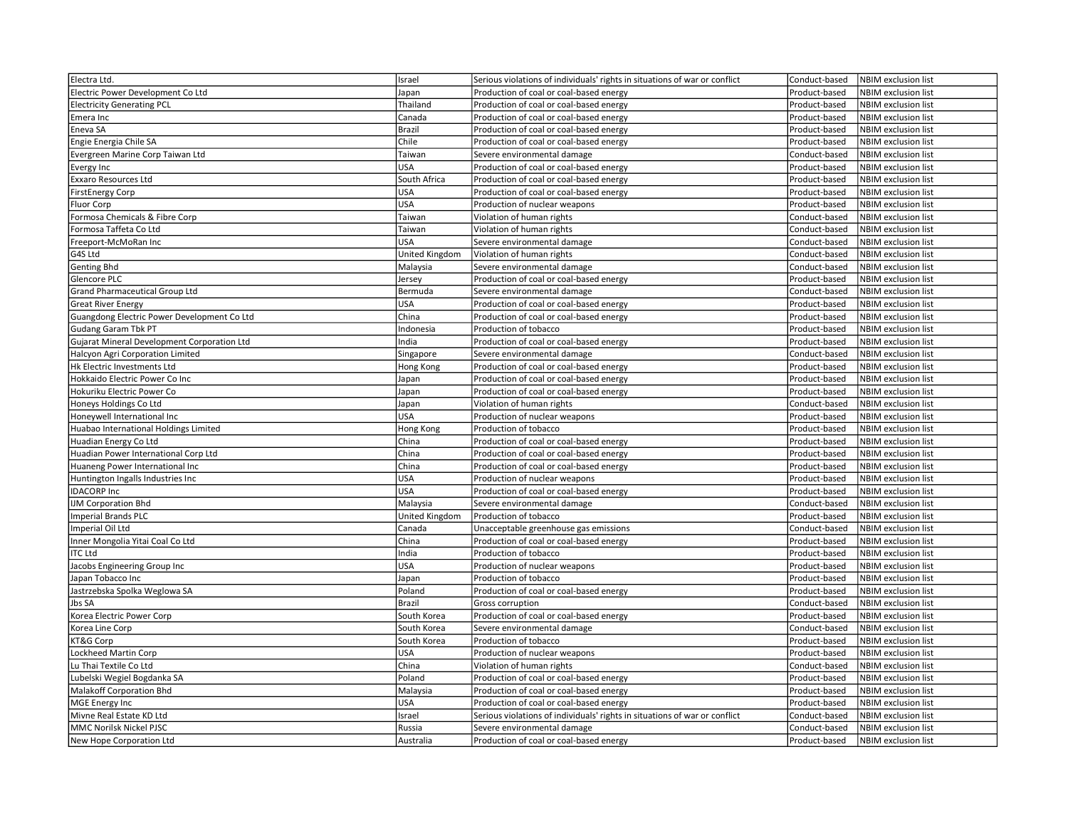| Electra Ltd.                                | Israel         | Serious violations of individuals' rights in situations of war or conflict | Conduct-based | <b>NBIM</b> exclusion list |
|---------------------------------------------|----------------|----------------------------------------------------------------------------|---------------|----------------------------|
| Electric Power Development Co Ltd           | Japan          | Production of coal or coal-based energy                                    | Product-based | NBIM exclusion list        |
| <b>Electricity Generating PCL</b>           | Thailand       | Production of coal or coal-based energy                                    | Product-based | <b>NBIM</b> exclusion list |
| Emera Inc                                   | Canada         | Production of coal or coal-based energy                                    | Product-based | NBIM exclusion list        |
| Eneva SA                                    | <b>Brazil</b>  | Production of coal or coal-based energy                                    | Product-based | NBIM exclusion list        |
| Engie Energia Chile SA                      | Chile          | Production of coal or coal-based energy                                    | Product-based | NBIM exclusion list        |
| Evergreen Marine Corp Taiwan Ltd            | Taiwan         | Severe environmental damage                                                | Conduct-based | NBIM exclusion list        |
| Evergy Inc                                  | USA            | Production of coal or coal-based energy                                    | Product-based | <b>NBIM</b> exclusion list |
| <b>Exxaro Resources Ltd</b>                 | South Africa   | Production of coal or coal-based energy                                    | Product-based | <b>NBIM</b> exclusion list |
| <b>FirstEnergy Corp</b>                     | <b>USA</b>     | Production of coal or coal-based energy                                    | Product-based | NBIM exclusion list        |
| Fluor Corp                                  | <b>USA</b>     | Production of nuclear weapons                                              | Product-based | <b>NBIM</b> exclusion list |
| Formosa Chemicals & Fibre Corp              | Taiwan         | Violation of human rights                                                  | Conduct-based | <b>NBIM</b> exclusion list |
| Formosa Taffeta Co Ltd                      | Taiwan         | Violation of human rights                                                  | Conduct-based | NBIM exclusion list        |
| Freeport-McMoRan Inc                        | USA            | Severe environmental damage                                                | Conduct-based | NBIM exclusion list        |
| G4S Ltd                                     | United Kingdom | Violation of human rights                                                  | Conduct-based | NBIM exclusion list        |
| <b>Genting Bhd</b>                          | Malaysia       | Severe environmental damage                                                | Conduct-based | NBIM exclusion list        |
| Glencore PLC                                | Jersey         | Production of coal or coal-based energy                                    | Product-based | NBIM exclusion list        |
| Grand Pharmaceutical Group Ltd              | Bermuda        | Severe environmental damage                                                | Conduct-based | NBIM exclusion list        |
| <b>Great River Energy</b>                   | <b>USA</b>     | Production of coal or coal-based energy                                    | Product-based | NBIM exclusion list        |
| Guangdong Electric Power Development Co Ltd | China          | Production of coal or coal-based energy                                    | Product-based | NBIM exclusion list        |
| <b>Gudang Garam Tbk PT</b>                  | Indonesia      | Production of tobacco                                                      | Product-based | <b>NBIM</b> exclusion list |
| Gujarat Mineral Development Corporation Ltd | India          | Production of coal or coal-based energy                                    | Product-based | <b>NBIM</b> exclusion list |
| Halcyon Agri Corporation Limited            | Singapore      | Severe environmental damage                                                | Conduct-based | <b>NBIM</b> exclusion list |
| Hk Electric Investments Ltd                 | Hong Kong      | Production of coal or coal-based energy                                    | Product-based | NBIM exclusion list        |
| Hokkaido Electric Power Co Inc              | Japan          | Production of coal or coal-based energy                                    | Product-based | <b>NBIM</b> exclusion list |
| Hokuriku Electric Power Co                  | Japan          | Production of coal or coal-based energy                                    | Product-based | NBIM exclusion list        |
| Honeys Holdings Co Ltd                      | Japan          | Violation of human rights                                                  | Conduct-based | <b>NBIM</b> exclusion list |
| Honeywell International Inc                 | <b>USA</b>     | Production of nuclear weapons                                              | Product-based | NBIM exclusion list        |
| Huabao International Holdings Limited       | Hong Kong      | Production of tobacco                                                      | Product-based | NBIM exclusion list        |
| Huadian Energy Co Ltd                       | China          | Production of coal or coal-based energy                                    | Product-based | <b>NBIM</b> exclusion list |
| Huadian Power International Corp Ltd        | China          | Production of coal or coal-based energy                                    | Product-based | NBIM exclusion list        |
| Huaneng Power International Inc             | China          | Production of coal or coal-based energy                                    | Product-based | NBIM exclusion list        |
| Huntington Ingalls Industries Inc           | <b>USA</b>     | Production of nuclear weapons                                              | Product-based | NBIM exclusion list        |
| <b>IDACORP Inc</b>                          | USA            | Production of coal or coal-based energy                                    | Product-based | <b>NBIM</b> exclusion list |
| <b>IJM Corporation Bhd</b>                  | Malaysia       | Severe environmental damage                                                | Conduct-based | <b>NBIM</b> exclusion list |
| <b>Imperial Brands PLC</b>                  | United Kingdom | Production of tobacco                                                      | Product-based | NBIM exclusion list        |
| Imperial Oil Ltd                            | Canada         | Unacceptable greenhouse gas emissions                                      | Conduct-based | NBIM exclusion list        |
| Inner Mongolia Yitai Coal Co Ltd            | China          | Production of coal or coal-based energy                                    | Product-based | NBIM exclusion list        |
| <b>ITC Ltd</b>                              | India          | Production of tobacco                                                      | Product-based | NBIM exclusion list        |
| Jacobs Engineering Group Inc                | USA            | Production of nuclear weapons                                              | Product-based | NBIM exclusion list        |
| Japan Tobacco Inc                           | Japan          | Production of tobacco                                                      | Product-based | <b>NBIM</b> exclusion list |
| Jastrzebska Spolka Weglowa SA               | Poland         | Production of coal or coal-based energy                                    | Product-based | NBIM exclusion list        |
| Jbs SA                                      | <b>Brazil</b>  | Gross corruption                                                           | Conduct-based | <b>NBIM</b> exclusion list |
| Korea Electric Power Corp                   | South Korea    | Production of coal or coal-based energy                                    | Product-based | NBIM exclusion list        |
| Korea Line Corp                             | South Korea    | Severe environmental damage                                                | Conduct-based | NBIM exclusion list        |
| KT&G Corp                                   | South Korea    | Production of tobacco                                                      | Product-based | NBIM exclusion list        |
| Lockheed Martin Corp                        | USA            | Production of nuclear weapons                                              | Product-based | NBIM exclusion list        |
| Lu Thai Textile Co Ltd                      | China          | Violation of human rights                                                  | Conduct-based | <b>NBIM</b> exclusion list |
| Lubelski Wegiel Bogdanka SA                 | Poland         | Production of coal or coal-based energy                                    | Product-based | NBIM exclusion list        |
| Malakoff Corporation Bhd                    | Malaysia       | Production of coal or coal-based energy                                    | Product-based | NBIM exclusion list        |
| <b>MGE Energy Inc</b>                       | USA            | Production of coal or coal-based energy                                    | Product-based | NBIM exclusion list        |
| Mivne Real Estate KD Ltd                    | Israel         | Serious violations of individuals' rights in situations of war or conflict | Conduct-based | NBIM exclusion list        |
| MMC Norilsk Nickel PJSC                     | Russia         | Severe environmental damage                                                | Conduct-based | <b>NBIM</b> exclusion list |
| New Hope Corporation Ltd                    | Australia      | Production of coal or coal-based energy                                    | Product-based | NBIM exclusion list        |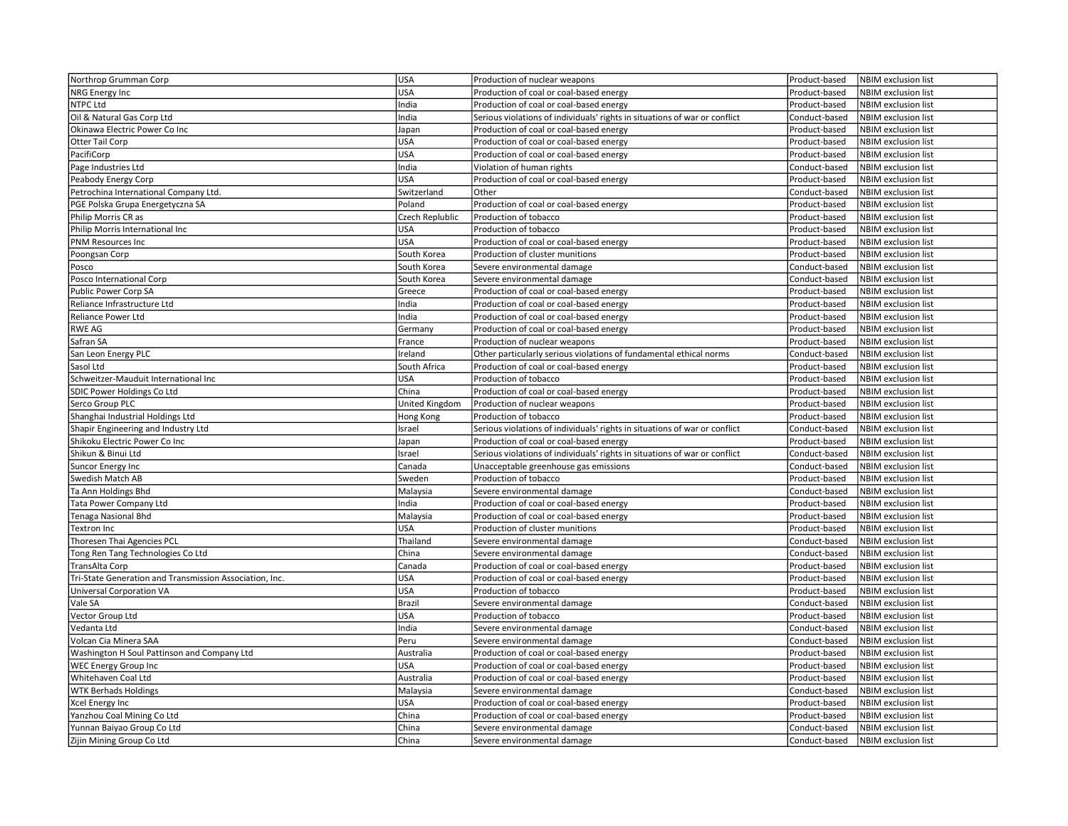| Northrop Grumman Corp                                   | <b>USA</b>            | Production of nuclear weapons                                              | Product-based | <b>NBIM</b> exclusion list |
|---------------------------------------------------------|-----------------------|----------------------------------------------------------------------------|---------------|----------------------------|
| NRG Energy Inc                                          | <b>USA</b>            | Production of coal or coal-based energy                                    | Product-based | NBIM exclusion list        |
| NTPC Ltd                                                | India                 | Production of coal or coal-based energy                                    | Product-based | <b>NBIM</b> exclusion list |
| Oil & Natural Gas Corp Ltd                              | India                 | Serious violations of individuals' rights in situations of war or conflict | Conduct-based | NBIM exclusion list        |
| Okinawa Electric Power Co Inc                           | Japan                 | Production of coal or coal-based energy                                    | Product-based | NBIM exclusion list        |
| Otter Tail Corp                                         | <b>USA</b>            | Production of coal or coal-based energy                                    | Product-based | NBIM exclusion list        |
| PacifiCorp                                              | <b>USA</b>            | Production of coal or coal-based energy                                    | Product-based | <b>NBIM</b> exclusion list |
| Page Industries Ltd                                     | India                 | Violation of human rights                                                  | Conduct-based | NBIM exclusion list        |
| Peabody Energy Corp                                     | <b>USA</b>            | Production of coal or coal-based energy                                    | Product-based | NBIM exclusion list        |
| Petrochina International Company Ltd.                   | Switzerland           | Other                                                                      | Conduct-based | <b>NBIM</b> exclusion list |
| PGE Polska Grupa Energetyczna SA                        | Poland                | Production of coal or coal-based energy                                    | Product-based | NBIM exclusion list        |
| Philip Morris CR as                                     | Czech Replublic       | Production of tobacco                                                      | Product-based | <b>NBIM</b> exclusion list |
| Philip Morris International Inc                         | <b>USA</b>            | Production of tobacco                                                      | Product-based | <b>NBIM</b> exclusion list |
| <b>PNM Resources Inc</b>                                | <b>USA</b>            | Production of coal or coal-based energy                                    | Product-based | NBIM exclusion list        |
| Poongsan Corp                                           | South Korea           | Production of cluster munitions                                            | Product-based | NBIM exclusion list        |
| Posco                                                   | South Korea           | Severe environmental damage                                                | Conduct-based | <b>NBIM</b> exclusion list |
| Posco International Corp                                | South Korea           | Severe environmental damage                                                | Conduct-based | <b>NBIM</b> exclusion list |
| Public Power Corp SA                                    | Greece                | Production of coal or coal-based energy                                    | Product-based | <b>NBIM</b> exclusion list |
| Reliance Infrastructure Ltd                             | India                 | Production of coal or coal-based energy                                    | Product-based | NBIM exclusion list        |
| Reliance Power Ltd                                      | India                 | Production of coal or coal-based energy                                    | Product-based | <b>NBIM</b> exclusion list |
| <b>RWE AG</b>                                           | Germany               | Production of coal or coal-based energy                                    | Product-based | <b>NBIM exclusion list</b> |
| Safran SA                                               | France                | Production of nuclear weapons                                              | Product-based | <b>NBIM</b> exclusion list |
| San Leon Energy PLC                                     | Ireland               | Other particularly serious violations of fundamental ethical norms         | Conduct-based | <b>NBIM</b> exclusion list |
| Sasol Ltd                                               | South Africa          | Production of coal or coal-based energy                                    | Product-based | NBIM exclusion list        |
| Schweitzer-Mauduit International Inc                    | <b>USA</b>            | Production of tobacco                                                      | Product-based | <b>NBIM</b> exclusion list |
| SDIC Power Holdings Co Ltd                              | China                 | Production of coal or coal-based energy                                    | Product-based | NBIM exclusion list        |
| Serco Group PLC                                         | <b>United Kingdom</b> | Production of nuclear weapons                                              | Product-based | <b>NBIM</b> exclusion list |
| Shanghai Industrial Holdings Ltd                        | Hong Kong             | Production of tobacco                                                      | Product-based | NBIM exclusion list        |
| Shapir Engineering and Industry Ltd                     | Israel                | Serious violations of individuals' rights in situations of war or conflict | Conduct-based | <b>NBIM</b> exclusion list |
| Shikoku Electric Power Co Inc                           | Japan                 | Production of coal or coal-based energy                                    | Product-based | <b>NBIM</b> exclusion list |
| Shikun & Binui Ltd                                      | Israel                | Serious violations of individuals' rights in situations of war or conflict | Conduct-based | NBIM exclusion list        |
| <b>Suncor Energy Inc</b>                                | Canada                | Unacceptable greenhouse gas emissions                                      | Conduct-based | NBIM exclusion list        |
| Swedish Match AB                                        | Sweden                | Production of tobacco                                                      | Product-based | <b>NBIM</b> exclusion list |
| Ta Ann Holdings Bhd                                     | Malaysia              | Severe environmental damage                                                | Conduct-based | <b>NBIM</b> exclusion list |
| <b>Tata Power Company Ltd</b>                           | India                 | Production of coal or coal-based energy                                    | Product-based | <b>NBIM</b> exclusion list |
| <b>Tenaga Nasional Bhd</b>                              | Malaysia              | Production of coal or coal-based energy                                    | Product-based | <b>NBIM</b> exclusion list |
| Textron Inc                                             | <b>USA</b>            | Production of cluster munitions                                            | Product-based | NBIM exclusion list        |
| Thoresen Thai Agencies PCL                              | Thailand              | Severe environmental damage                                                | Conduct-based | <b>NBIM</b> exclusion list |
| Tong Ren Tang Technologies Co Ltd                       | China                 | Severe environmental damage                                                | Conduct-based | NBIM exclusion list        |
| <b>TransAlta Corp</b>                                   | Canada                | Production of coal or coal-based energy                                    | Product-based | NBIM exclusion list        |
| Tri-State Generation and Transmission Association, Inc. | <b>USA</b>            | Production of coal or coal-based energy                                    | Product-based | <b>NBIM</b> exclusion list |
| <b>Universal Corporation VA</b>                         | <b>USA</b>            | Production of tobacco                                                      | Product-based | <b>NBIM</b> exclusion list |
| Vale SA                                                 | <b>Brazil</b>         | Severe environmental damage                                                | Conduct-based | <b>NBIM</b> exclusion list |
| Vector Group Ltd                                        | <b>USA</b>            | Production of tobacco                                                      | Product-based | <b>NBIM</b> exclusion list |
| Vedanta Ltd                                             | India                 | Severe environmental damage                                                | Conduct-based | NBIM exclusion list        |
| Volcan Cia Minera SAA                                   | Peru                  | Severe environmental damage                                                | Conduct-based | <b>NBIM</b> exclusion list |
| Washington H Soul Pattinson and Company Ltd             | Australia             | Production of coal or coal-based energy                                    | Product-based | <b>NBIM</b> exclusion list |
| <b>WEC Energy Group Inc</b>                             | <b>USA</b>            | Production of coal or coal-based energy                                    | Product-based | <b>NBIM</b> exclusion list |
| Whitehaven Coal Ltd                                     | Australia             | Production of coal or coal-based energy                                    | Product-based | <b>NBIM</b> exclusion list |
| <b>WTK Berhads Holdings</b>                             | Malaysia              | Severe environmental damage                                                | Conduct-based | NBIM exclusion list        |
| Xcel Energy Inc                                         | <b>USA</b>            | Production of coal or coal-based energy                                    | Product-based | <b>NBIM</b> exclusion list |
| Yanzhou Coal Mining Co Ltd                              | China                 | Production of coal or coal-based energy                                    | Product-based | <b>NBIM</b> exclusion list |
| Yunnan Baiyao Group Co Ltd                              | China                 | Severe environmental damage                                                | Conduct-based | NBIM exclusion list        |
| Zijin Mining Group Co Ltd                               | China                 | Severe environmental damage                                                | Conduct-based | <b>NBIM</b> exclusion list |